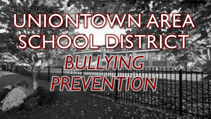# UNIONTOWN AREA SCHOOL DISTRICT BULLYING PREVENTION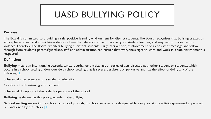# UASD BULLYING POLICY

#### **Purpose**

The Board is committed to providing a safe, positive learning environment for district students. The Board recognizes that bullying creates an atmosphere of fear and intimidation, detracts from the safe environment necessary for student learning, and may lead to more serious violence. Therefore, the Board prohibits bullying of district students. Early intervention, reinforcement of a consistent message and follow through from students, parents/guardians, staff and administration can ensure that everyone's right to learn and work in a safe environment is respected.

#### **Definitions**

**Bullying** means an intentional electronic, written, verbal or physical act or series of acts directed at another student or students, which occurs in a school setting and/or outside a school setting, that is severe, persistent or pervasive and has the effect of doing any of the following:[\[1\]](http://www.legis.state.pa.us/cfdocs/legis/LI/uconsCheck.cfm?txtType=HTM&yr=1949&sessInd=0&smthLwInd=0&act=14&chpt=13A&sctn=3&subsctn=1)

Substantial interference with a student's education.

Creation of a threatening environment.

Substantial disruption of the orderly operation of the school.

**Bullying**, as defined in this policy, includes cyberbullying.

**School setting** means in the school, on school grounds, in school vehicles, at a designated bus stop or at any activity sponsored, supervised or sanctioned by the school[.\[1\]](http://www.legis.state.pa.us/cfdocs/legis/LI/uconsCheck.cfm?txtType=HTM&yr=1949&sessInd=0&smthLwInd=0&act=14&chpt=13A&sctn=3&subsctn=1)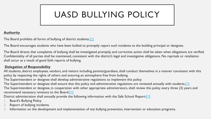# UASD BULLYING POLICY

#### **Authority**

The Board prohibits all forms of bullying of district students.<sup>[1]</sup>

The Board encourages students who have been bullied to promptly report such incidents to the building principal or designee.

The Board directs that complaints of bullying shall be investigated promptly, and corrective action shall be taken when allegations are verified. Confidentiality of all parties shall be maintained, consistent with the district's legal and investigative obligations. No reprisals or retaliation shall occur as a result of good faith reports of bullying.

#### **Delegation of Responsibility**

All students, district employees, vendors, and visitors including parents/guardians, shall conduct themselves in a manner consistent with this policy by respecting the rights of others and ensuring an atmosphere free from bullying.

The Superintendent or designee shall develop administrative regulations to implement this policy.

The Superintendent or designee shall ensure that this policy and administrative regulations are reviewed annually with students.<sup>[1]</sup> The Superintendent or designee, in cooperation with other appropriate administrators, shall review this policy every three (3) years and recommend necessary revisions to the Board[.\[1\]](http://www.legis.state.pa.us/cfdocs/legis/LI/uconsCheck.cfm?txtType=HTM&yr=1949&sessInd=0&smthLwInd=0&act=14&chpt=13A&sctn=3&subsctn=1)

District administration shall annually provide the following information with the Safe School Report:<sup>[\[1\]](http://www.legis.state.pa.us/cfdocs/legis/LI/uconsCheck.cfm?txtType=HTM&yr=1949&sessInd=0&smthLwInd=0&act=14&chpt=13A&sctn=3&subsctn=1)</sup>

- Board's Bullying Policy.
- 2. Report of bullying incidents.
- 3. Information on the development and implementation of any bullying prevention, intervention or education programs.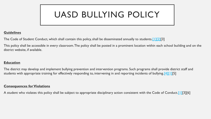# UASD BULLYING POLICY

#### **Guidelines**

The Code of Student Conduct, which shall contain this policy, shall be disseminated annually to students. [\[1\]\[2\]\[](http://www.legis.state.pa.us/cfdocs/legis/LI/uconsCheck.cfm?txtType=HTM&yr=1949&sessInd=0&smthLwInd=0&act=14&chpt=13A&sctn=3&subsctn=1)3]

This policy shall be accessible in every classroom. The policy shall be posted in a prominent location within each school building and on the district website, if available.

#### **Education**

The district may develop and implement bullying prevention and intervention programs. Such programs shall provide district staff and students with appropriate training for effectively responding to, intervening in and reporting incidents of bullying.<sup>[\[4\]\[1\]](http://www.legis.state.pa.us/cfdocs/legis/LI/uconsCheck.cfm?txtType=HTM&yr=1949&sessInd=0&smthLwInd=0&act=14&chpt=13A&sctn=2&subsctn=0)[5]</sup>

#### **Consequences for Violations**

A student who violates this policy shall be subject to appropriate disciplinary action consistent with the Code of Conduct.<sup>[1]</sup>[3][6]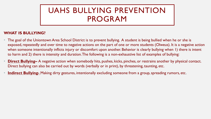#### **WHAT IS BULLYING?**

- The goal of the Uniontown Area School District is to prevent bullying. A student is being bullied when he or she is exposed, repeatedly and over time to negative actions on the part of one or more students (Olweus). It is a negative action when someone intentionally inflicts injury or discomfort upon another. Behavior is clearly bullying when 1) there is intent to harm and 2) there is intensity and duration. The following is a non-exhaustive list of examples of bullying:
- **Direct Bullying** A negative action when somebody hits, pushes, kicks, pinches, or restrains another by physical contact. Direct bullying can also be carried out by words (verbally or in print), by threatening, taunting, etc.
- **Indirect Bullying-** Making dirty gestures, intentionally excluding someone from a group, spreading rumors, etc.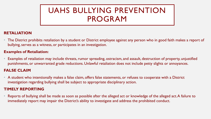#### **RETALIATION**

• The District prohibits retaliation by a student or District employee against any person who in good faith makes a report of bullying, serves as a witness, or participates in an investigation.

#### **Examples of Retaliation:**

• Examples of retaliation may include threats, rumor spreading, ostracism, and assault, destruction of property, unjustified punishments, or unwarranted grade reductions. Unlawful retaliation does not include petty slights or annoyances.

#### **FALSE CLAIM**

• A student who intentionally makes a false claim, offers false statements, or refuses to cooperate with a District investigation regarding bullying shall be subject to appropriate disciplinary action.

#### **TIMELY REPORTING**

• Reports of bullying shall be made as soon as possible after the alleged act or knowledge of the alleged act. A failure to immediately report may impair the District's ability to investigate and address the prohibited conduct.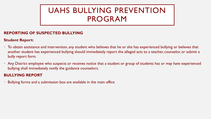#### **REPORTING OF SUSPECTED BULLYING**

#### **Student Report:**

- To obtain assistance and intervention, any student who believes that he or she has experienced bullying or believes that another student has experienced bullying should immediately report the alleged acts to a teacher, counselor, or submit a bully report form.
- Any District employee who suspects or receives notice that a student or group of students has or may have experienced bullying shall immediately notify the guidance counselors.

#### **BULLYING REPORT**

• Bullying forms and a submission box are available in the main office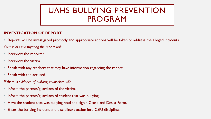#### **INVESTIGATION OF REPORT**

• Reports will be investigated promptly and appropriate actions will be taken to address the alleged incidents.

*Counselors investigating the report will:*

- Interview the reporter.
- Interview the victim.
- Speak with any teachers that may have information regarding the report.
- Speak with the accused.
- *If there is evidence of bullying, counselors will:*
- Inform the parents/guardians of the victim.
- Inform the parents/guardians of student that was bullying.
- Have the student that was bullying read and sign a Cease and Desist Form.
- Enter the bullying incident and disciplinary action into CSIU discipline.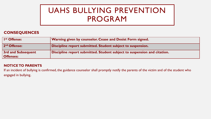#### **CONSEQUENCES**

| I <sup>st</sup> Offense:                      | Warning given by counselor. Cease and Desist Form signed.                |
|-----------------------------------------------|--------------------------------------------------------------------------|
| 2 <sup>nd</sup> Offense:                      | Discipline report submitted. Student subject to suspension.              |
| <b>3rd and Subsequent</b><br><b>Offenses:</b> | Discipline report submitted. Student subject to suspension and citation. |

#### **NOTICE TO PARENTS**

If an incident of bullying is confirmed, the guidance counselor shall promptly notify the parents of the victim and of the student who engaged in bullying.